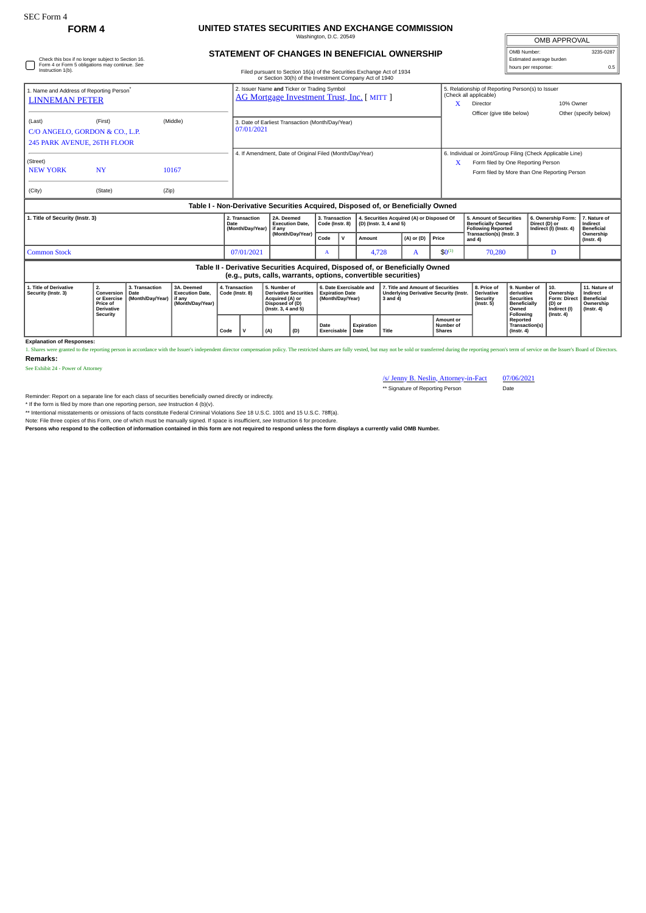## **FORM 4 UNITED STATES SECURITIES AND EXCHANGE COMMISSION** Washington, D.C. 20549

| Check this box if no longer subject to Section 16.<br>Form 4 or Form 5 obligations may continue. See<br>Instruction 1(b). |                                                                              |                                            |                                                                                  |                                   | <b>STATEMENT OF CHANGES IN BENEFICIAL OWNERSHIP</b><br>Filed pursuant to Section 16(a) of the Securities Exchange Act of 1934 |                                                                                                           |                                                                |                                                                       |             |                                                                      |                                                                                                |                                                                               |                                                |                                                                                                                                                        |                                                                                              | OMB Number:<br>Estimated average burden<br>hours per response: |                                                                                | 3235-0287<br>0.5                                                                |
|---------------------------------------------------------------------------------------------------------------------------|------------------------------------------------------------------------------|--------------------------------------------|----------------------------------------------------------------------------------|-----------------------------------|-------------------------------------------------------------------------------------------------------------------------------|-----------------------------------------------------------------------------------------------------------|----------------------------------------------------------------|-----------------------------------------------------------------------|-------------|----------------------------------------------------------------------|------------------------------------------------------------------------------------------------|-------------------------------------------------------------------------------|------------------------------------------------|--------------------------------------------------------------------------------------------------------------------------------------------------------|----------------------------------------------------------------------------------------------|----------------------------------------------------------------|--------------------------------------------------------------------------------|---------------------------------------------------------------------------------|
|                                                                                                                           |                                                                              |                                            |                                                                                  |                                   |                                                                                                                               |                                                                                                           | or Section 30(h) of the Investment Company Act of 1940         |                                                                       |             |                                                                      |                                                                                                |                                                                               |                                                |                                                                                                                                                        |                                                                                              |                                                                |                                                                                |                                                                                 |
| 1. Name and Address of Reporting Person <sup>®</sup><br><b>LINNEMAN PETER</b>                                             |                                                                              |                                            |                                                                                  |                                   | 2. Issuer Name and Ticker or Trading Symbol<br>AG Mortgage Investment Trust, Inc. [ MITT ]                                    |                                                                                                           |                                                                |                                                                       |             |                                                                      |                                                                                                |                                                                               |                                                | (Check all applicable)<br>Director                                                                                                                     | 5. Relationship of Reporting Person(s) to Issuer                                             |                                                                | 10% Owner                                                                      |                                                                                 |
| (Middle)<br>(Last)<br>(First)<br>C/O ANGELO, GORDON & CO., L.P.<br>245 PARK AVENUE, 26TH FLOOR                            |                                                                              |                                            |                                                                                  |                                   | 3. Date of Earliest Transaction (Month/Day/Year)<br>07/01/2021                                                                |                                                                                                           |                                                                |                                                                       |             |                                                                      |                                                                                                |                                                                               |                                                | Officer (give title below)                                                                                                                             |                                                                                              |                                                                |                                                                                | Other (specify below)                                                           |
| (Street)<br><b>NEW YORK</b><br><b>NY</b><br>10167                                                                         |                                                                              |                                            |                                                                                  |                                   | 4. If Amendment, Date of Original Filed (Month/Day/Year)                                                                      |                                                                                                           |                                                                |                                                                       |             |                                                                      |                                                                                                |                                                                               |                                                | 6. Individual or Joint/Group Filing (Check Applicable Line)<br>Form filed by One Reporting Person<br>X<br>Form filed by More than One Reporting Person |                                                                                              |                                                                |                                                                                |                                                                                 |
| (City)                                                                                                                    | (State)                                                                      |                                            | (Zip)                                                                            |                                   |                                                                                                                               |                                                                                                           |                                                                |                                                                       |             |                                                                      |                                                                                                |                                                                               |                                                |                                                                                                                                                        |                                                                                              |                                                                |                                                                                |                                                                                 |
|                                                                                                                           |                                                                              |                                            | Table I - Non-Derivative Securities Acquired, Disposed of, or Beneficially Owned |                                   |                                                                                                                               |                                                                                                           |                                                                |                                                                       |             |                                                                      |                                                                                                |                                                                               |                                                |                                                                                                                                                        |                                                                                              |                                                                |                                                                                |                                                                                 |
| 1. Title of Security (Instr. 3)                                                                                           |                                                                              |                                            |                                                                                  |                                   | 2. Transaction<br>Date<br>(Month/Day/Year)                                                                                    |                                                                                                           | 2A. Deemed<br><b>Execution Date.</b>                           | 3. Transaction<br>Code (Instr. 8)                                     |             | 4. Securities Acquired (A) or Disposed Of<br>(D) (Instr. 3, 4 and 5) |                                                                                                |                                                                               |                                                | 5. Amount of Securities<br><b>Beneficially Owned</b><br><b>Following Reported</b>                                                                      |                                                                                              | Direct (D) or                                                  | 6. Ownership Form:<br>Indirect (I) (Instr. 4)                                  | 7. Nature of<br>Indirect<br><b>Beneficial</b>                                   |
|                                                                                                                           |                                                                              |                                            |                                                                                  |                                   |                                                                                                                               |                                                                                                           | (Month/Day/Year)                                               |                                                                       | $\mathbf v$ | Amount                                                               |                                                                                                | $(A)$ or $(D)$                                                                | Price                                          | Transaction(s) (Instr. 3<br>and 4)                                                                                                                     |                                                                                              |                                                                |                                                                                | Ownership<br>$($ Instr. 4 $)$                                                   |
| <b>Common Stock</b>                                                                                                       |                                                                              |                                            |                                                                                  |                                   |                                                                                                                               | 07/01/2021                                                                                                |                                                                | $\mathbf{A}$                                                          |             | 4,728                                                                |                                                                                                | A                                                                             | $$0^{(1)}$$                                    |                                                                                                                                                        | 70,280                                                                                       |                                                                | D                                                                              |                                                                                 |
|                                                                                                                           |                                                                              |                                            |                                                                                  |                                   |                                                                                                                               |                                                                                                           | (e.g., puts, calls, warrants, options, convertible securities) |                                                                       |             |                                                                      |                                                                                                | Table II - Derivative Securities Acquired, Disposed of, or Beneficially Owned |                                                |                                                                                                                                                        |                                                                                              |                                                                |                                                                                |                                                                                 |
| 1. Title of Derivative<br>Security (Instr. 3)                                                                             | 2.<br>Conversion<br>or Exercise<br>Price of<br><b>Derivative</b><br>Security | 3. Transaction<br>Date<br>(Month/Day/Year) | 3A. Deemed<br><b>Execution Date.</b><br>if any<br>(Month/Day/Year)               | 4. Transaction<br>Code (Instr. 8) |                                                                                                                               | 5. Number of<br><b>Derivative Securities</b><br>Acquired (A) or<br>Disposed of (D)<br>(Instr. 3, 4 and 5) |                                                                | 6. Date Exercisable and<br><b>Expiration Date</b><br>(Month/Day/Year) |             |                                                                      | 7. Title and Amount of Securities<br><b>Underlying Derivative Security (Instr.</b><br>3 and 4) |                                                                               |                                                | 8. Price of<br>Derivative<br><b>Security</b><br>$($ Instr. 5 $)$                                                                                       | 9. Number of<br>derivative<br><b>Securities</b><br><b>Beneficially</b><br>Owned<br>Following |                                                                | 10.<br>Ownership<br>Form: Direct<br>(D) or<br>Indirect (I)<br>$($ Instr. 4 $)$ | 11. Nature of<br>Indirect<br><b>Beneficial</b><br>Ownership<br>$($ Instr. 4 $)$ |
|                                                                                                                           |                                                                              |                                            |                                                                                  | Code                              | (D)<br>(A)                                                                                                                    |                                                                                                           |                                                                | Date<br>Exercisable                                                   |             | <b>Expiration</b><br>Date                                            | Title                                                                                          |                                                                               | <b>Amount or</b><br>Number of<br><b>Shares</b> |                                                                                                                                                        | Reported<br>Transaction(s)<br>$($ Instr. 4 $)$                                               |                                                                |                                                                                |                                                                                 |

**Explanation of Responses:**<br>1. Shares were granted to the rep ue boundary person in accordance with the Issuer's independent director compensation policy. The restricted shares are fully vested, but may not be sold or transferred during the reporting person's term of service on the I **Remarks:**

See Exhibit 24 - Power of Attorney

/s/ Jenny B. Neslin, Attorney-in-Fact 07/06/2021

\*\* Signature of Reporting Person Date

OMB APPROVAL

Reminder: Report on a separate line for each class of securities beneficially owned directly or indirectly.

\* If the form is filed by more than one reporting person, *see* Instruction 4 (b)(v).

\*\* Intentional misstatements or omissions of facts constitute Federal Criminal Violations *See* 18 U.S.C. 1001 and 15 U.S.C. 78ff(a).

Note: File three copies of this Form, one of which must be manually signed. If space is insufficient, *see* Instruction 6 for procedure.

**Persons who respond to the collection of information contained in this form are not required to respond unless the form displays a currently valid OMB Number.**

 $\begin{bmatrix} \circ & \circ & \circ \\ \circ & \circ & \circ & \circ \\ \circ & \circ & \circ & \circ \end{bmatrix}$